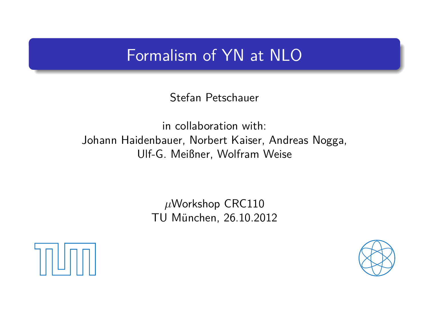## Formalism of YN at NLO

Stefan Petschauer

in collaboration with: Johann Haidenbauer, Norbert Kaiser, Andreas Nogga, Ulf-G. Meißner, Wolfram Weise

> *µ*Workshop CRC110 TU München, 26.10.2012

<span id="page-0-0"></span>

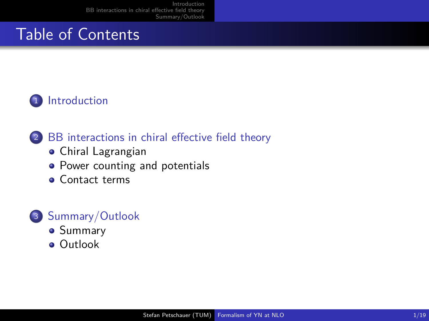# Table of Contents

### <sup>1</sup> [Introduction](#page-2-0)

### <sup>2</sup> [BB interactions in chiral effective field theory](#page-4-0)

- [Chiral Lagrangian](#page-4-0)
- [Power counting and potentials](#page-11-0)
- **[Contact terms](#page-17-0)**

- [Summary](#page-23-0)
- **•** [Outlook](#page-24-0)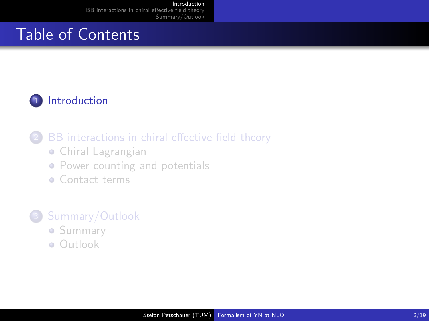# Table of Contents

### <sup>1</sup> [Introduction](#page-2-0)

### [BB interactions in chiral effective field theory](#page-4-0)

- [Chiral Lagrangian](#page-4-0)
- [Power counting and potentials](#page-11-0)
- **[Contact terms](#page-17-0)**

- **[Summary](#page-23-0)**
- <span id="page-2-0"></span>[Outlook](#page-24-0)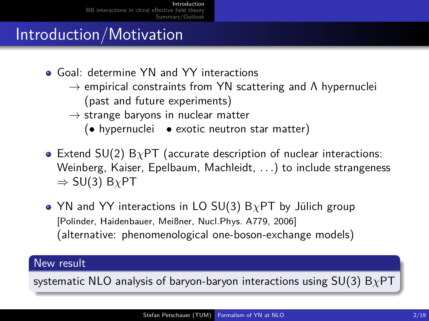# Introduction/Motivation

- **Goal: determine YN and YY interactions** 
	- $\rightarrow$  empirical constraints from YN scattering and  $\Lambda$  hypernuclei (past and future experiments)
	- $\rightarrow$  strange baryons in nuclear matter
		- (• hypernuclei exotic neutron star matter)
- Extend SU(2) B*χ*PT (accurate description of nuclear interactions: Weinberg, Kaiser, Epelbaum, Machleidt, *. . .*) to include strangeness  $\Rightarrow$  SU(3) B<sub>*X*</sub>PT
- YN and YY interactions in LO SU(3) B*χ*PT by Jülich group [Polinder, Haidenbauer, Meißner, Nucl.Phys. A779, 2006] (alternative: phenomenological one-boson-exchange models)

#### New result

systematic NLO analysis of baryon-baryon interactions using SU(3) B*χ*PT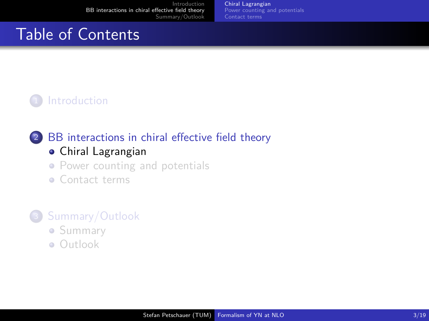[Chiral Lagrangian](#page-4-0) [Power counting and potentials](#page-11-0) [Contact terms](#page-17-0)

# Table of Contents

### **[Introduction](#page-2-0)**

#### <sup>2</sup> [BB interactions in chiral effective field theory](#page-4-0) [Chiral Lagrangian](#page-4-0)

- [Power counting and potentials](#page-11-0)
- **[Contact terms](#page-17-0)**

- [Summary](#page-23-0)
- <span id="page-4-0"></span>[Outlook](#page-24-0)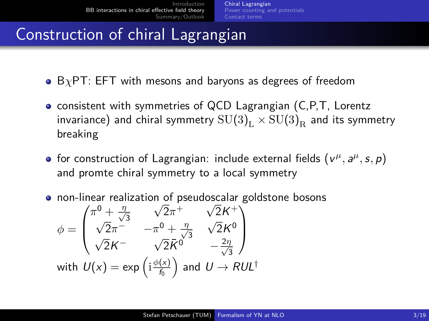## Construction of chiral Lagrangian

- **•** B<sub>*χ*</sub>PT: EFT with mesons and baryons as degrees of freedom
- **consistent with symmetries of QCD Lagrangian (C,P,T, Lorentz** invariance) and chiral symmetry  ${\rm SU(3)}_{\rm L}$   $\times$   ${\rm SU(3)}_{\rm R}$  and its symmetry breaking
- for construction of Lagrangian: include external fields  $(v^{\mu}, a^{\mu}, s, p)$ and promte chiral symmetry to a local symmetry

non-linear realization of pseudoscalar goldstone bosons

$$
\phi = \begin{pmatrix}\n\pi^0 + \frac{\eta}{\sqrt{3}} & \sqrt{2}\pi^+ & \sqrt{2}K^+ \\
\sqrt{2}\pi^- & -\pi^0 + \frac{\eta}{\sqrt{3}} & \sqrt{2}K^0 \\
\sqrt{2}K^- & \sqrt{2}\bar{K}^0 & -\frac{2\eta}{\sqrt{3}}\n\end{pmatrix}
$$
\nwith  $U(x) = \exp\left(i\frac{\phi(x)}{f_0}\right)$  and  $U \rightarrow RUL^{\dagger}$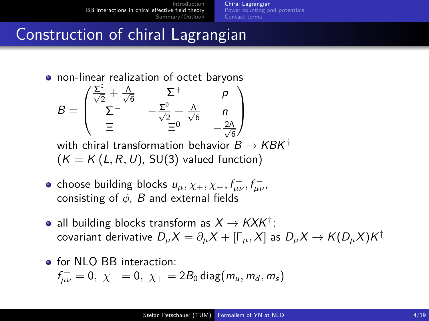[Chiral Lagrangian](#page-4-0) [Power counting and potentials](#page-11-0) [Contact terms](#page-17-0)

## Construction of chiral Lagrangian

non-linear realization of octet baryons

$$
B = \begin{pmatrix} \frac{\Sigma^0}{\sqrt{2}} + \frac{\Lambda}{\sqrt{6}} & \Sigma^+ & p \\ \Sigma^- & -\frac{\Sigma^0}{\sqrt{2}} + \frac{\Lambda}{\sqrt{6}} & n \\ \Xi^- & \Xi^0 & -\frac{2\Lambda}{\sqrt{6}} \end{pmatrix}
$$

with chiral transformation behavior  $B \to K B K^{\dagger}$  $(K = K(L, R, U), SU(3)$  valued function)

- choose building blocks  $u_{\mu}$ ,  $\chi_{+}$ ,  $\chi_{-}$ ,  $f_{\mu\nu}^{+}$ ,  $f_{\mu\nu}^{-}$ , consisting of *φ*, B and external fields
- all building blocks transform as  $X \to K X K^\dagger$ ;  $\alpha$ covariant derivative  $D_\mu X = \partial_\mu X + [\Gamma_\mu,X]$  as  $D_\mu X \to K(D_\mu X) K^\dagger$
- **o** for NLO BB interaction:  $f_{\mu\nu}^{\pm}=0,~\chi_{-}=0,~\chi_{+}=2B_{0}\,\text{diag}(m_{\mu},m_{d},m_{s})$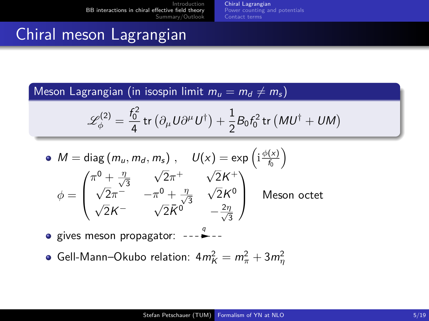[Chiral Lagrangian](#page-4-0) [Power counting and potentials](#page-11-0) [Contact terms](#page-17-0)

# Chiral meson Lagrangian

Meson Lagrangian (in isospin limit  $m_u = m_d \neq m_s$ )

$$
\mathscr{L}_{\phi}^{(2)} = \frac{f_0^2}{4} \operatorname{tr} \left( \partial_{\mu} U \partial^{\mu} U^{\dagger} \right) + \frac{1}{2} B_0 f_0^2 \operatorname{tr} \left( M U^{\dagger} + U M \right)
$$

• 
$$
M = \text{diag}(m_u, m_d, m_s)
$$
,  $U(x) = \exp\left(i\frac{\phi(x)}{f_0}\right)$   
\n
$$
\phi = \begin{pmatrix}\n\pi^0 + \frac{\eta}{\sqrt{3}} & \sqrt{2}\pi^+ & \sqrt{2}K^+ \\
\sqrt{2}\pi^- & -\pi^0 + \frac{\eta}{\sqrt{3}} & \sqrt{2}K^0 \\
\sqrt{2}K^- & \sqrt{2}\bar{K}^0 & -\frac{2\eta}{\sqrt{3}}\n\end{pmatrix}
$$
 Meson octet

gives meson propagator: ---  $\stackrel{q}{\bullet}$ 

Gell-Mann–Okubo relation: 4 $m_K^2 = m_\pi^2 + 3 m_\eta^2$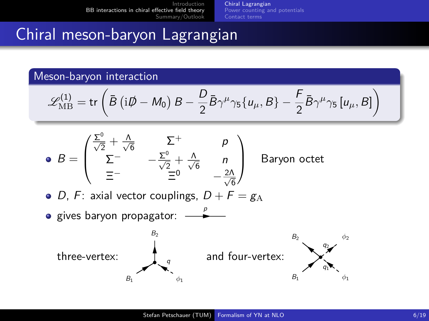[Chiral Lagrangian](#page-4-0) [Power counting and potentials](#page-11-0) [Contact terms](#page-17-0)

## Chiral meson-baryon Lagrangian

Meson-baryon interaction

$$
\mathscr{L}_{\text{MB}}^{(1)} = \text{tr}\left(\bar{B}\left(i\rlap{\,/}\partial - M_0\right)B - \frac{D}{2}\bar{B}\gamma^\mu\gamma_5\{u_\mu, B\} - \frac{F}{2}\bar{B}\gamma^\mu\gamma_5\left[u_\mu, B\right]\right)
$$



- D, F: axial vector couplings,  $D + F = g_A$
- gives baryon propagator:  $\stackrel{p}{\longrightarrow}$

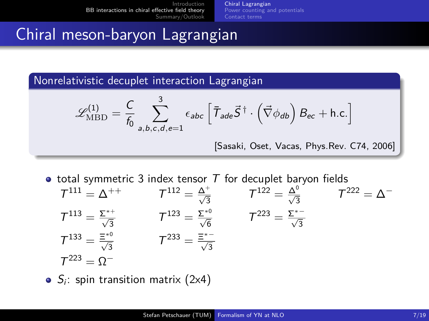[Chiral Lagrangian](#page-4-0) [Power counting and potentials](#page-11-0) [Contact terms](#page-17-0)

## Chiral meson-baryon Lagrangian

Nonrelativistic decuplet interaction Lagrangian

$$
\mathcal{L}_{\mathrm{MBD}}^{(1)} = \frac{C}{f_0} \sum_{a,b,c,d,e=1}^{3} \epsilon_{abc} \left[ \bar{T}_{ade} \vec{S}^{\dagger} \cdot (\vec{\nabla} \phi_{db}) B_{ec} + \text{h.c.} \right]
$$
\n[Sasaki, Oset, Vacas, Phys. Rev. C74, 2006]

- total symmetric 3 index tensor  $T$  for decuplet baryon fields
	- $T^{111} = \Delta^{++}$  T  $\frac{\Delta^{+}}{\sqrt{3}}$  $\mathcal{T}^{122} = \frac{\Delta^0}{\sqrt{3}}$   $\mathcal{T}^{222} = \Delta^{-1}$  $T^{113} = \frac{\Sigma^{*+}}{\sqrt{3}}$  $T^{123} = \frac{\Sigma^{*0}}{\sqrt{6}}$   $T^{223} = \frac{\Sigma^{*0}}{\sqrt{3}}$  $T^{133} = \frac{\Xi^{*0}}{\sqrt{3}}$  $T^{233} = \frac{\Xi^{*-}}{\sqrt{3}}$  $T^{223} = \Omega^-$

 $S_i$ : spin transition matrix (2x4)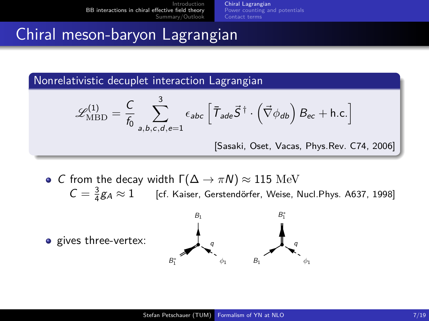[Chiral Lagrangian](#page-4-0) [Power counting and potentials](#page-11-0) [Contact terms](#page-17-0)

## Chiral meson-baryon Lagrangian

Nonrelativistic decuplet interaction Lagrangian

$$
\mathcal{L}_{\text{MBD}}^{(1)} = \frac{C}{f_0} \sum_{a,b,c,d,e=1}^{3} \epsilon_{abc} \left[ \bar{\mathcal{T}}_{ade} \vec{S}^{\dagger} \cdot (\vec{\nabla} \phi_{db}) B_{ec} + \text{h.c.} \right]
$$
\n[Sasaki, Oset, Vacas, Phys. Rev. C74, 2006]

• C from the decay width  $\Gamma(\Delta \to \pi N) \approx 115$  MeV  $C = \frac{3}{4}$ [cf. Kaiser, Gerstendörfer, Weise, Nucl.Phys. A637, 1998]

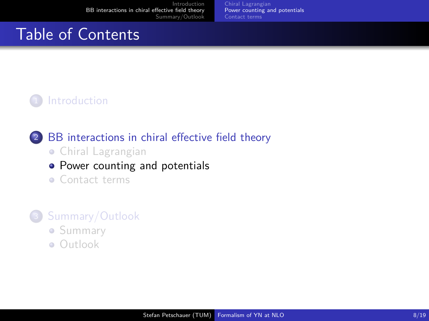[Chiral Lagrangian](#page-4-0) [Power counting and potentials](#page-11-0) [Contact terms](#page-17-0)

## Table of Contents

### **[Introduction](#page-2-0)**

### <sup>2</sup> [BB interactions in chiral effective field theory](#page-4-0)

- [Chiral Lagrangian](#page-4-0)
- [Power counting and potentials](#page-11-0)
- **[Contact terms](#page-17-0)**

- [Summary](#page-23-0)
- <span id="page-11-0"></span>[Outlook](#page-24-0)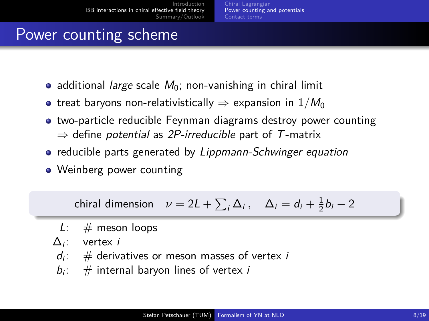[Chiral Lagrangian](#page-4-0) [Power counting and potentials](#page-11-0) [Contact terms](#page-17-0)

## Power counting scheme

- additional *large* scale  $M_0$ ; non-vanishing in chiral limit
- **•** treat baryons non-relativistically  $\Rightarrow$  expansion in  $1/M_0$
- two-particle reducible Feynman diagrams destroy power counting  $\Rightarrow$  define potential as 2P-irreducible part of T-matrix
- reducible parts generated by Lippmann-Schwinger equation
- Weinberg power counting

chiral dimension  $\nu = 2L + \sum_i \Delta_i$ ,  $\Delta_i = d_i + \frac{1}{2}b_i - 2$ 

- $L: \#$  meson loops
- $\Delta_i$ : vertex *i*
- $d_i$ :  $\#$  derivatives or meson masses of vertex i
- $b_i$ : # internal baryon lines of vertex i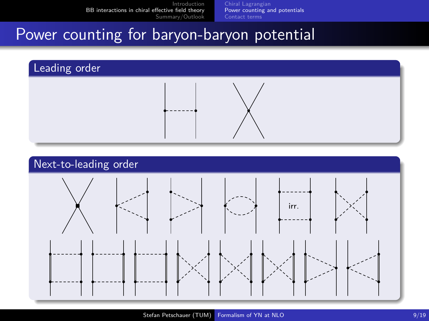[Chiral Lagrangian](#page-4-0) [Power counting and potentials](#page-11-0) [Contact terms](#page-17-0)

## Power counting for baryon-baryon potential



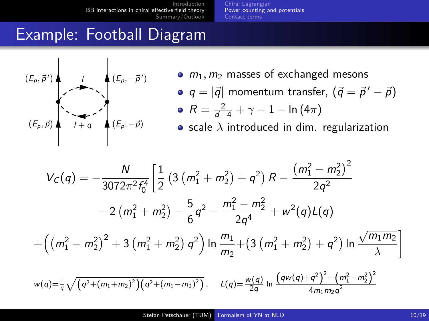[Chiral Lagrangian](#page-4-0) [Power counting and potentials](#page-11-0) [Contact terms](#page-17-0)

## Example: Football Diagram



- $m_1, m_2$  masses of exchanged mesons
- $q = |\vec{q}|$  momentum transfer,  $(\vec{q} = \vec{p}^{\, \prime} \vec{p})$  $R=\frac{2}{d-4}+\gamma-1-\ln{(4\pi)}$

 $\bullet$  scale  $\lambda$  introduced in dim. regularization

$$
V_C(q) = -\frac{N}{3072\pi^2 f_0^4} \left[ \frac{1}{2} \left( 3 \left( m_1^2 + m_2^2 \right) + q^2 \right) R - \frac{\left( m_1^2 - m_2^2 \right)^2}{2q^2} -2 \left( m_1^2 + m_2^2 \right) - \frac{5}{6} q^2 - \frac{m_1^2 - m_2^2}{2q^4} + w^2(q) L(q) + \left( \left( m_1^2 - m_2^2 \right)^2 + 3 \left( m_1^2 + m_2^2 \right) q^2 \right) \ln \frac{m_1}{m_2} + \left( 3 \left( m_1^2 + m_2^2 \right) + q^2 \right) \ln \frac{\sqrt{m_1 m_2}}{\lambda} \right]
$$
  

$$
w(q) = \frac{1}{q} \sqrt{\left( q^2 + \left( m_1 + m_2 \right)^2 \right) \left( q^2 + \left( m_1 - m_2 \right)^2 \right)}, \quad L(q) = \frac{w(q)}{2q} \ln \frac{\left( q w(q) + q^2 \right)^2 - \left( m_1^2 - m_2^2 \right)^2}{4m_1 m_2 q^2}
$$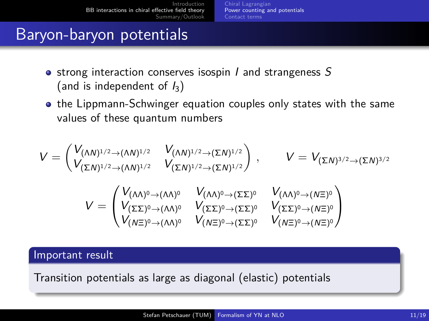[Chiral Lagrangian](#page-4-0) [Power counting and potentials](#page-11-0) [Contact terms](#page-17-0)

## Baryon-baryon potentials

- strong interaction conserves isospin  $I$  and strangeness  $S$ (and is independent of  $I_3$ )
- **•** the Lippmann-Schwinger equation couples only states with the same values of these quantum numbers

$$
V = \begin{pmatrix} V_{(\Lambda N)^{1/2} \to (\Lambda N)^{1/2}} & V_{(\Lambda N)^{1/2} \to (\Sigma N)^{1/2}} \\ V_{(\Sigma N)^{1/2} \to (\Lambda N)^{1/2}} & V_{(\Sigma N)^{1/2} \to (\Sigma N)^{1/2}} \end{pmatrix}, \qquad V = V_{(\Sigma N)^{3/2} \to (\Sigma N)^{3/2}}
$$

$$
V = \begin{pmatrix} V_{(\Lambda \Lambda)^0 \to (\Lambda \Lambda)^0} & V_{(\Lambda \Lambda)^0 \to (\Sigma \Sigma)^0} & V_{(\Lambda \Lambda)^0 \to (\Lambda \Sigma)^0} \\ V_{(\Sigma \Sigma)^0 \to (\Lambda \Lambda)^0} & V_{(\Sigma \Sigma)^0 \to (\Sigma \Sigma)^0} & V_{(\Sigma \Sigma)^0 \to (\Lambda \Sigma)^0} \\ V_{(\Lambda \Xi)^0 \to (\Lambda \Lambda)^0} & V_{(\Lambda \Xi)^0 \to (\Sigma \Sigma)^0} & V_{(\Lambda \Xi)^0 \to (\Lambda \Xi)^0} \end{pmatrix}
$$

#### Important result

Transition potentials as large as diagonal (elastic) potentials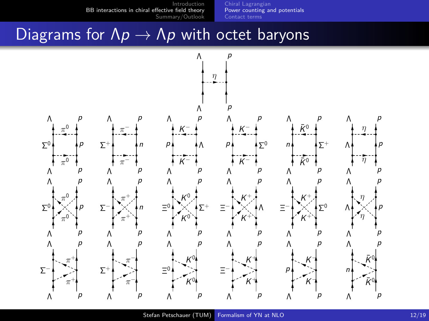[Chiral Lagrangian](#page-4-0) [Power counting and potentials](#page-11-0) [Contact terms](#page-17-0)

## Diagrams for  $\Lambda p \to \Lambda p$  with octet baryons

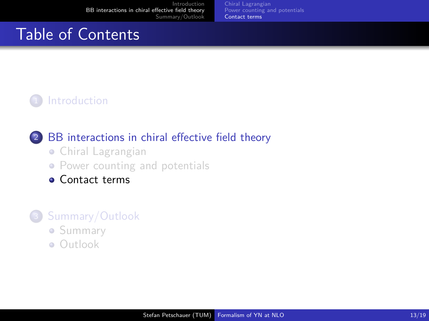[Chiral Lagrangian](#page-4-0) [Power counting and potentials](#page-11-0) [Contact terms](#page-17-0)

# Table of Contents

### **[Introduction](#page-2-0)**

#### <sup>2</sup> [BB interactions in chiral effective field theory](#page-4-0)

- [Chiral Lagrangian](#page-4-0)
- [Power counting and potentials](#page-11-0)
- **[Contact terms](#page-17-0)**

- [Summary](#page-23-0)
- <span id="page-17-0"></span>[Outlook](#page-24-0)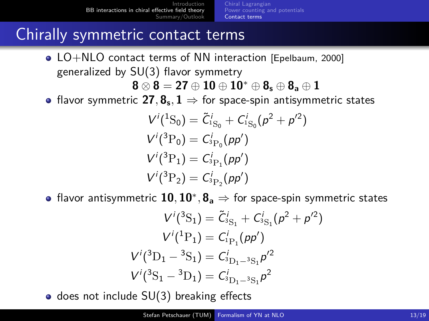[Chiral Lagrangian](#page-4-0) [Power counting and potentials](#page-11-0) [Contact terms](#page-17-0)

### Chirally symmetric contact terms

• LO+NLO contact terms of NN interaction [Epelbaum, 2000] generalized by SU(3) flavor symmetry

**8** ⊗ **8** = **27** ⊕ **10** ⊕ **10**<sup>∗</sup> ⊕ **8<sup>s</sup>** ⊕ **8<sup>a</sup>** ⊕ **1**

flavor symmetric  ${\bf 27},{\bf 8_s}, {\bf 1} \Rightarrow$  for space-spin antisymmetric states

$$
Vi(1S0) = \tilde{C}_{1S_0}^i + C_{1S_0}^i (p^2 + p'^2)
$$
  
\n
$$
Vi(3P0) = C_{3P_0}^i (p p')
$$
  
\n
$$
Vi(3P1) = C_{3P_1}^i (p p')
$$
  
\n
$$
Vi(3P2) = C_{3P_2}^i (p p')
$$

flavor antisymmetric **10***,* **10**<sup>∗</sup> *,* **8<sup>a</sup>** ⇒ for space-spin symmetric states

$$
V^i(^3S_1) = \tilde{C}_{S_{\rm S1}}^i + C_{S_{\rm S1}}^i (p^2 + p'^2)
$$
  
\n
$$
V^i(^1P_1) = C_{P_1}^i (p p')
$$
  
\n
$$
V^i(^3D_1 - {}^3S_1) = C_{S_{D_1} - {}^3S_1}^i p'^2
$$
  
\n
$$
V^i({}^3S_1 - {}^3D_1) = C_{S_{D_1} - {}^3S_1}^i p^2
$$

 $\bullet$  does not include SU(3) breaking effects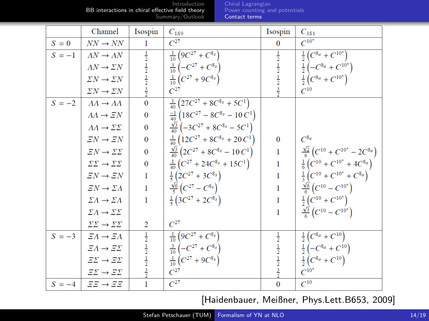[Chiral Lagrangian](#page-4-0) [Power counting and potentials](#page-11-0) [Contact terms](#page-17-0)

|          | Channel                              | Isospin                                                 | $C_{1S0}$                                                      | Isospin                                                               | $C_{3S1}$                                                                               |
|----------|--------------------------------------|---------------------------------------------------------|----------------------------------------------------------------|-----------------------------------------------------------------------|-----------------------------------------------------------------------------------------|
| $S=0$    | $NN \rightarrow NN$                  | 1                                                       | $C^{27}$                                                       | $\mathbf{0}$                                                          | $C^{10^*}$                                                                              |
| $S = -1$ | $\Lambda N \to \Lambda N$            |                                                         | $\frac{1}{10} \left( 9C^{27} + C^{8s} \right)$                 |                                                                       | $\frac{1}{2}\left(C^{8a}+C^{10^*}\right)$                                               |
|          | $AN \rightarrow \Sigma N$            |                                                         | $\frac{3}{10} \left( -C^{27} + C^{8s} \right)$                 |                                                                       |                                                                                         |
|          | $\Sigma N \rightarrow \Sigma N$      |                                                         | $\frac{1}{10} (C^{27} + 9C^{8s})$                              | $\frac{1}{2}$ $\frac{1}{2}$ $\frac{1}{2}$ $\frac{1}{3}$ $\frac{3}{2}$ | $\frac{1}{2}\left(-C^{8a}+C^{10^*}\right)$<br>$\frac{1}{2}\left(C^{8a}+C^{10^*}\right)$ |
|          | $\Sigma N \to \Sigma N$              | $\frac{1}{2}$ $\frac{1}{2}$ $\frac{1}{2}$ $\frac{3}{2}$ | $C^{27}$                                                       |                                                                       | $C^{10}$                                                                                |
| $S = -2$ | $\Lambda\Lambda \to \Lambda\Lambda$  | $\overline{0}$                                          | $\frac{1}{40}$ $\left(27C^{27} + 8C^{8_s} + 5C^1\right)$       |                                                                       |                                                                                         |
|          | $\Lambda\Lambda \to \Xi N$           | $\bf{0}$                                                | $\frac{-1}{40}$ $\left(18C^{27} - 8C^{8_s} - 10C^1\right)$     |                                                                       |                                                                                         |
|          | $\Lambda\Lambda \to \Sigma\Sigma$    | $\bf{0}$                                                | $\frac{\sqrt{3}}{40} \left(-3C^{27} + 8C^{8s} - 5C^1\right)$   |                                                                       |                                                                                         |
|          | $EN \rightarrow EN$                  | $\bf{0}$                                                | $\frac{1}{40}$ $\left(12C^{27} + 8C^{8_s} + 20C^1\right)$      | $\bf{0}$                                                              | $C^{8_a}$                                                                               |
|          | $EN \to \Sigma \Sigma$               | $\bf{0}$                                                | $\frac{\sqrt{3}}{40}$ $\left(2C^{27} + 8C^{8s} - 10C^1\right)$ |                                                                       | $\frac{\sqrt{2}}{6}\left(C^{10}+C^{10^*}-2C^{8a}\right)$                                |
|          | $\Sigma\Sigma\to\Sigma\Sigma$        | $\bf{0}$                                                | $\frac{1}{40} (C^{27} + 24C^{8_s} + 15C^1)$                    |                                                                       | $\frac{1}{6}\left(C^{10}+C^{10^*}+4C^{8a}\right)$                                       |
|          | $EN \rightarrow EN$                  | 1                                                       | $\frac{1}{5} (2C^{27} + 3C^{8_s})$                             |                                                                       | $\frac{1}{3}\left(C^{10}+C^{10^*}+C^{8_a}\right)$                                       |
|          | $EN \to \Sigma \Lambda$              | 1                                                       | $\frac{\sqrt{6}}{5}(C^{27}-C^{8s})$                            |                                                                       | $\frac{\sqrt{6}}{6}(C^{10}-C^{10^*})$                                                   |
|          | $\Sigma A \rightarrow \Sigma A$      | 1                                                       | $\frac{1}{5}$ (3C <sup>27</sup> + 2C <sup>8</sup> s)           |                                                                       | $\frac{1}{2} (C^{10} + C^{10^*})$                                                       |
|          | $\Sigma A \rightarrow \Sigma \Sigma$ |                                                         |                                                                | 1                                                                     | $\frac{\sqrt{3}}{6}$ $\left(C^{10} - C^{10^*}\right)$                                   |
|          | $\Sigma\Sigma\to\Sigma\Sigma$        | 2                                                       | $C^{27}$                                                       |                                                                       |                                                                                         |
| $S = -3$ | $EA \rightarrow EA$                  |                                                         | $\frac{1}{10} \left( 9C^{27} + C^{\overline{8_s}} \right)$     |                                                                       | $\frac{1}{2}\left(C^{8a} + C^{10}\right)$                                               |
|          | $E\Lambda \rightarrow E\Sigma$       |                                                         | $\frac{3}{10} \left( -C^{27} + C^{8s} \right)$                 |                                                                       | $\frac{1}{2} \left( -C^{8a} + C^{10} \right)$                                           |
|          | $\varXi\varSigma\to\varXi\varSigma$  | $\frac{1}{2}$ $\frac{1}{2}$ $\frac{1}{2}$ $\frac{3}{2}$ | $\frac{1}{10} \left( C^{27} + 9C^{8_s} \right)$                | $\frac{1}{2}$ $\frac{1}{2}$ $\frac{1}{2}$ $\frac{3}{2}$               | $\frac{1}{2}\left(C^{8_a}+C^{10}\right)$                                                |
|          | $\varXi\varSigma\to\varXi\varSigma$  |                                                         | $C^{27}$                                                       |                                                                       | $C^{10^*}$                                                                              |
|          | $S = -4$ $EE \rightarrow EE$         | 1                                                       | $C^{27}$                                                       | $\bf{0}$                                                              | $C^{10}$                                                                                |

[Haidenbauer, Meißner, Phys.Lett.B653, 2009]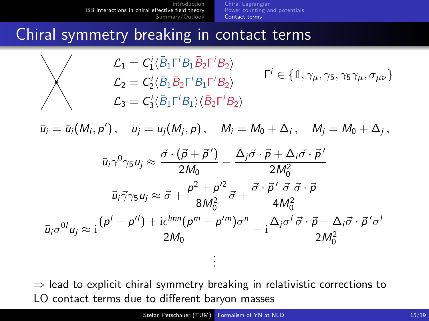[Chiral Lagrangian](#page-4-0) [Power counting and potentials](#page-11-0) [Contact terms](#page-17-0)

### Chiral symmetry breaking in contact terms

$$
\mathcal{L}_1 = C_1^i \langle \bar{B}_1 \Gamma^i B_1 \bar{B}_2 \Gamma^i B_2 \rangle
$$
  
\n
$$
\mathcal{L}_2 = C_2^i \langle \bar{B}_1 \bar{B}_2 \Gamma^i B_1 \Gamma^i B_2 \rangle
$$
  
\n
$$
\mathcal{L}_3 = C_3^i \langle \bar{B}_1 \Gamma^i B_1 \rangle \langle \bar{B}_2 \Gamma^i B_2 \rangle
$$
  
\n
$$
\Gamma^i \in \{ \mathbb{1}, \gamma_\mu, \gamma_5, \gamma_5 \gamma_\mu, \sigma_{\mu\nu} \}
$$

 $\bar{u}_i = \bar{u}_i(M_i, p'),$   $u_j = u_j(M_j, p),$   $M_i = M_0 + \Delta_i,$   $M_j = M_0 + \Delta_j,$ 

$$
\bar{u}_i \gamma^0 \gamma_5 u_j \approx \frac{\vec{\sigma} \cdot (\vec{p} + \vec{p}')}{2M_0} - \frac{\Delta_j \vec{\sigma} \cdot \vec{p} + \Delta_i \vec{\sigma} \cdot \vec{p}'}{2M_0^2}
$$

$$
\bar{u}_i \vec{\gamma} \gamma_5 u_j \approx \vec{\sigma} + \frac{p^2 + p'^2}{8M_0^2} \vec{\sigma} + \frac{\vec{\sigma} \cdot \vec{p}' \vec{\sigma} \vec{\sigma} \cdot \vec{p}}{4M_0^2}
$$

$$
\bar{u}_i \sigma^{0I} u_j \approx \frac{(\rho' - \rho'') + i\epsilon^{lmn}(\rho^m + \rho'^m)\sigma^n}{2M_0} - i\frac{\Delta_j \sigma' \vec{\sigma} \cdot \vec{p} - \Delta_i \vec{\sigma} \cdot \vec{p}' \sigma'}{2M_0^2}
$$

 $\Rightarrow$  lead to explicit chiral symmetry breaking in relativistic corrections to LO contact terms due to different baryon masses

. . .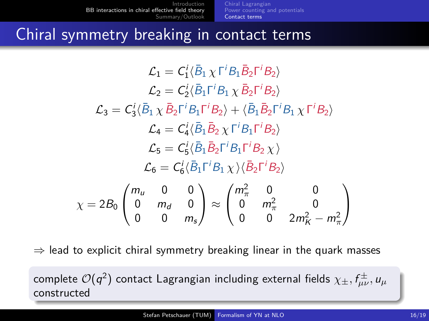[Chiral Lagrangian](#page-4-0) [Power counting and potentials](#page-11-0) [Contact terms](#page-17-0)

## Chiral symmetry breaking in contact terms

$$
\mathcal{L}_1 = C_1' \langle \bar{B}_1 \chi \Gamma^i B_1 \bar{B}_2 \Gamma^i B_2 \rangle
$$
  
\n
$$
\mathcal{L}_2 = C_2' \langle \bar{B}_1 \Gamma^i B_1 \chi \bar{B}_2 \Gamma^i B_2 \rangle
$$
  
\n
$$
\mathcal{L}_3 = C_3' \langle \bar{B}_1 \chi \bar{B}_2 \Gamma^i B_1 \Gamma^i B_2 \rangle + \langle \bar{B}_1 \bar{B}_2 \Gamma^i B_1 \chi \Gamma^i B_2 \rangle
$$
  
\n
$$
\mathcal{L}_4 = C_4' \langle \bar{B}_1 \bar{B}_2 \chi \Gamma^i B_1 \Gamma^i B_2 \rangle
$$
  
\n
$$
\mathcal{L}_5 = C_5' \langle \bar{B}_1 \bar{B}_2 \Gamma^i B_1 \Gamma^i B_2 \chi \rangle
$$
  
\n
$$
\mathcal{L}_6 = C_6' \langle \bar{B}_1 \Gamma^i B_1 \chi \rangle \langle \bar{B}_2 \Gamma^i B_2 \rangle
$$
  
\n
$$
\chi = 2B_0 \begin{pmatrix} m_u & 0 & 0 \\ 0 & m_d & 0 \\ 0 & 0 & m_s \end{pmatrix} \approx \begin{pmatrix} m_\pi^2 & 0 & 0 \\ 0 & m_\pi^2 & 0 \\ 0 & 0 & 2m_K^2 - m_\pi^2 \end{pmatrix}
$$

 $\Rightarrow$  lead to explicit chiral symmetry breaking linear in the quark masses

 $\,$  complete  ${\cal O}(q^2)$  contact Lagrangian including external fields  $\chi_{\pm}, f_{\mu\nu}^{\pm}, u_{\mu}^{\pm}$ constructed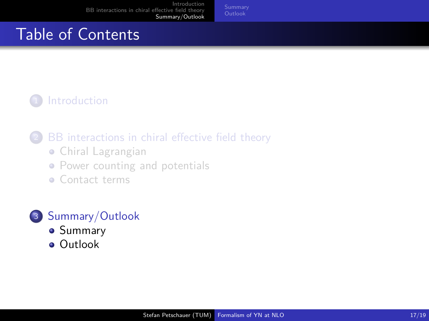# Table of Contents

### **[Introduction](#page-2-0)**

### [BB interactions in chiral effective field theory](#page-4-0)

- [Chiral Lagrangian](#page-4-0)
- [Power counting and potentials](#page-11-0)
- **[Contact terms](#page-17-0)**

- [Summary](#page-23-0)
- <span id="page-22-0"></span>**•** [Outlook](#page-24-0)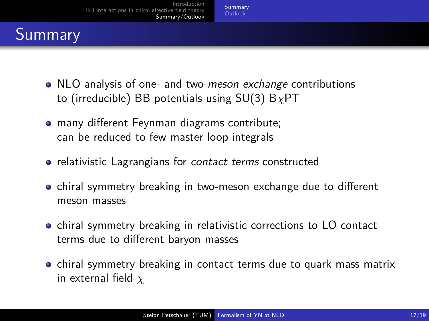# Summary

- NLO analysis of one- and two-meson exchange contributions to (irreducible) BB potentials using SU(3) B*χ*PT
- many different Feynman diagrams contribute; can be reduced to few master loop integrals
- relativistic Lagrangians for *contact terms* constructed
- **•** chiral symmetry breaking in two-meson exchange due to different meson masses
- **•** chiral symmetry breaking in relativistic corrections to LO contact terms due to different baryon masses
- <span id="page-23-0"></span>• chiral symmetry breaking in contact terms due to quark mass matrix in external field *χ*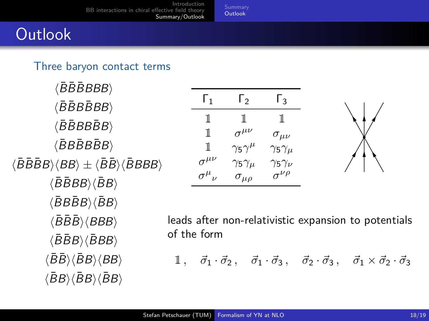# **Outlook**

#### Three baryon contact terms

 $\langle \bar{B}\bar{B}\bar{B}BBB \rangle$  $\langle \bar{B}\bar{B}B\bar{B}BB\rangle$  $\langle \bar{B} \bar{B} B B \bar{B} B \rangle$  $\langle \bar{B}B\bar{B}B\bar{B}B\rangle$  $\langle \bar{B}\bar{B}B\bar{B}B\rangle \langle BB\rangle \pm \langle \bar{B}\bar{B}\rangle \langle \bar{B}BBB\rangle$  $\langle \bar{B}\bar{B}BB\rangle \langle \bar{B}B\rangle$  $\langle \bar{B}B\bar{B}B\rangle \langle \bar{B}B\rangle$  $\langle \bar{B}\bar{B}\bar{B}\rangle\langle BBB\rangle$  $\langle \bar{B} \bar{B} B \rangle \langle \bar{B} B B \rangle$  $\langle\bar{B}\bar{B}\rangle\langle\bar{B}B\rangle\langle BB\rangle$  $\langle \bar{B}B \rangle \langle \bar{B}B \rangle \langle \bar{B}B \rangle$ 

| Г1                     | Γэ                   | Г٩                   |
|------------------------|----------------------|----------------------|
| ı                      | ı                    | 1                    |
| 1                      | $\sigma^{\mu\nu}$    | $\sigma_{\mu\nu}$    |
| 1                      | $\gamma_5\gamma^\mu$ | $\gamma_5\gamma_\mu$ |
| $\sigma^{\mu\nu}$      | $\gamma_5\gamma_\mu$ | $\gamma_5\gamma_\nu$ |
| $\sigma^{\mu}{}_{\nu}$ | $\sigma_{\mu\rho}$   | $\sigma^{\nu\rho}$   |



leads after non-relativistic expansion to potentials of the form

<span id="page-24-0"></span>1.  $\vec{\sigma}_1 \cdot \vec{\sigma}_2$ ,  $\vec{\sigma}_1 \cdot \vec{\sigma}_3$ ,  $\vec{\sigma}_2 \cdot \vec{\sigma}_3$ ,  $\vec{\sigma}_1 \times \vec{\sigma}_2 \cdot \vec{\sigma}_3$